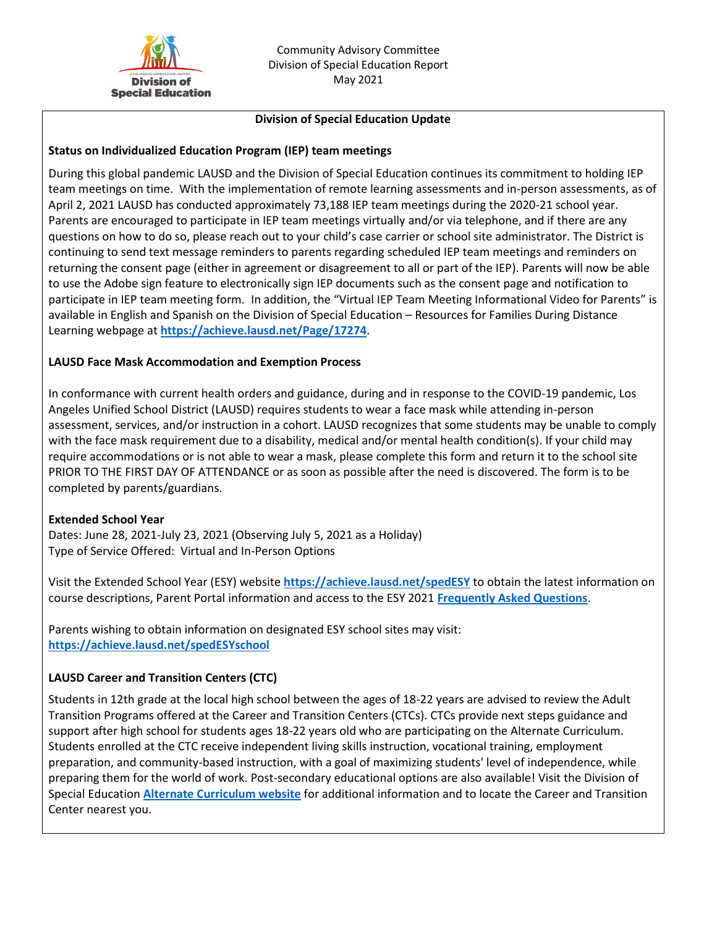

### **Division of Special Education Update**

### **Status on Individualized Education Program (IEP) team meetings**

During this global pandemic LAUSD and the Division of Special Education continues its commitment to holding IEP team meetings on time. With the implementation of remote learning assessments and in-person assessments, as of April 2, 2021 LAUSD has conducted approximately 73,188 IEP team meetings during the 2020-21 school year. Parents are encouraged to participate in IEP team meetings virtually and/or via telephone, and if there are any questions on how to do so, please reach out to your child's case carrier or school site administrator. The District is continuing to send text message reminders to parents regarding scheduled IEP team meetings and reminders on returning the consent page (either in agreement or disagreement to all or part of the IEP). Parents will now be able to use the Adobe sign feature to electronically sign IEP documents such as the consent page and notification to participate in IEP team meeting form. In addition, the "Virtual IEP Team Meeting Informational Video for Parents" is available in English and Spanish on the Division of Special Education – Resources for Families During Distance Learning webpage at **<https://achieve.lausd.net/Page/17274>**.

### **LAUSD Face Mask Accommodation and Exemption Process**

In conformance with current health orders and guidance, during and in response to the COVID-19 pandemic, Los Angeles Unified School District (LAUSD) requires students to wear a face mask while attending in-person assessment, services, and/or instruction in a cohort. LAUSD recognizes that some students may be unable to comply with the face mask requirement due to a disability, medical and/or mental health condition(s). If your child may require accommodations or is not able to wear a mask, please complete this form and return it to the school site PRIOR TO THE FIRST DAY OF ATTENDANCE or as soon as possible after the need is discovered. The form is to be completed by parents/guardians.

#### **Extended School Year**

Dates: June 28, 2021-July 23, 2021 (Observing July 5, 2021 as a Holiday) Type of Service Offered: Virtual and In-Person Options

Visit the Extended School Year (ESY) website **<https://achieve.lausd.net/spedESY>** to obtain the latest information on course descriptions, Parent Portal information and access to the ESY 2021 **[Frequently Asked Questions](https://achieve.lausd.net/cms/lib/CA01000043/Centricity/Domain/1220/ESY%20FAQ%20for%20Parents%20-%20English%20and%20Spanish.pdf)**.

Parents wishing to obtain information on designated ESY school sites may visit: **<https://achieve.lausd.net/spedESYschool>**

# **LAUSD Career and Transition Centers (CTC)**

Students in 12th grade at the local high school between the ages of 18-22 years are advised to review the Adult Transition Programs offered at the Career and Transition Centers (CTCs). CTCs provide next steps guidance and support after high school for students ages 18-22 years old who are participating on the Alternate Curriculum. Students enrolled at the CTC receive independent living skills instruction, vocational training, employment preparation, and community-based instruction, with a goal of maximizing students' level of independence, while preparing them for the world of work. Post-secondary educational options are also available! Visit the Division of Special Education **[Alternate Curriculum website](https://achieve.lausd.net/Page/17048)** for additional information and to locate the Career and Transition Center nearest you.